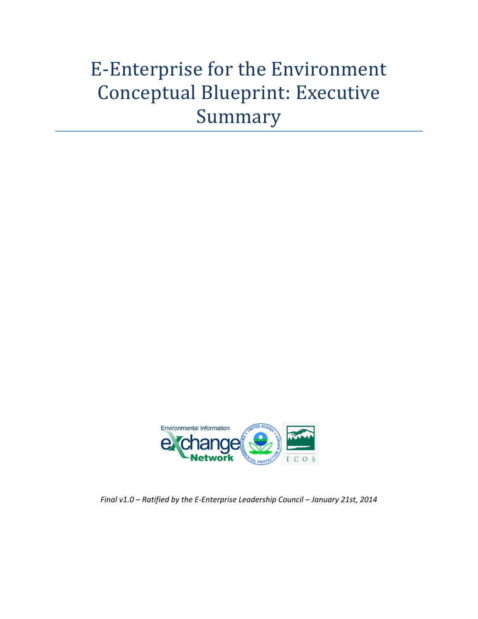# E-Enterprise for the Environment Conceptual Blueprint: Executive Summary



*Final v1.0 – Ratified by the E-Enterprise Leadership Council – January 21st, 2014*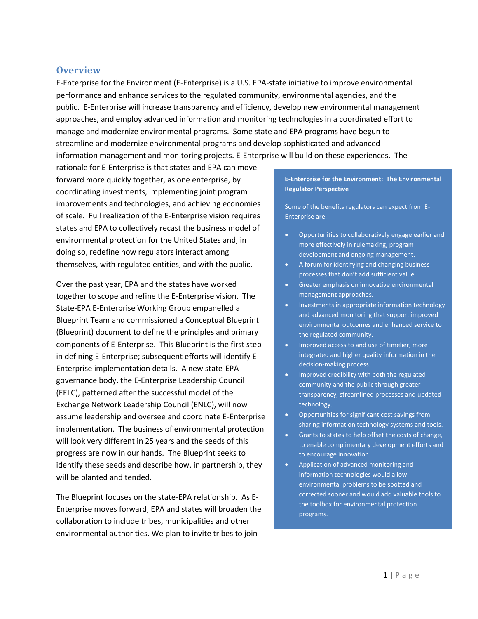### **Overview**

E-Enterprise for the Environment (E-Enterprise) is a U.S. EPA-state initiative to improve environmental performance and enhance services to the regulated community, environmental agencies, and the public. E-Enterprise will increase transparency and efficiency, develop new environmental management approaches, and employ advanced information and monitoring technologies in a coordinated effort to manage and modernize environmental programs. Some state and EPA programs have begun to streamline and modernize environmental programs and develop sophisticated and advanced information management and monitoring projects. E-Enterprise will build on these experiences. The

rationale for E-Enterprise is that states and EPA can move forward more quickly together, as one enterprise, by coordinating investments, implementing joint program improvements and technologies, and achieving economies of scale. Full realization of the E-Enterprise vision requires states and EPA to collectively recast the business model of environmental protection for the United States and, in doing so, redefine how regulators interact among themselves, with regulated entities, and with the public.

Over the past year, EPA and the states have worked together to scope and refine the E-Enterprise vision. The State-EPA E-Enterprise Working Group empanelled a Blueprint Team and commissioned a Conceptual Blueprint (Blueprint) document to define the principles and primary components of E-Enterprise. This Blueprint is the first step in defining E-Enterprise; subsequent efforts will identify E-Enterprise implementation details. A new state-EPA governance body, the E-Enterprise Leadership Council (EELC), patterned after the successful model of the Exchange Network Leadership Council (ENLC), will now assume leadership and oversee and coordinate E-Enterprise implementation. The business of environmental protection will look very different in 25 years and the seeds of this progress are now in our hands. The Blueprint seeks to identify these seeds and describe how, in partnership, they will be planted and tended.

The Blueprint focuses on the state-EPA relationship. As E-Enterprise moves forward, EPA and states will broaden the collaboration to include tribes, municipalities and other environmental authorities. We plan to invite tribes to join

#### **E-Enterprise for the Environment: The Environmental Regulator Perspective**

Some of the benefits regulators can expect from E-Enterprise are:

- Opportunities to collaboratively engage earlier and more effectively in rulemaking, program development and ongoing management.
- A forum for identifying and changing business processes that don't add sufficient value.
- Greater emphasis on innovative environmental management approaches.
- Investments in appropriate information technology and advanced monitoring that support improved environmental outcomes and enhanced service to the regulated community.
- Improved access to and use of timelier, more integrated and higher quality information in the decision-making process.
- Improved credibility with both the regulated community and the public through greater transparency, streamlined processes and updated technology.
- Opportunities for significant cost savings from sharing information technology systems and tools.
- Grants to states to help offset the costs of change, to enable complimentary development efforts and to encourage innovation.
- Application of advanced monitoring and information technologies would allow environmental problems to be spotted and corrected sooner and would add valuable tools to the toolbox for environmental protection programs.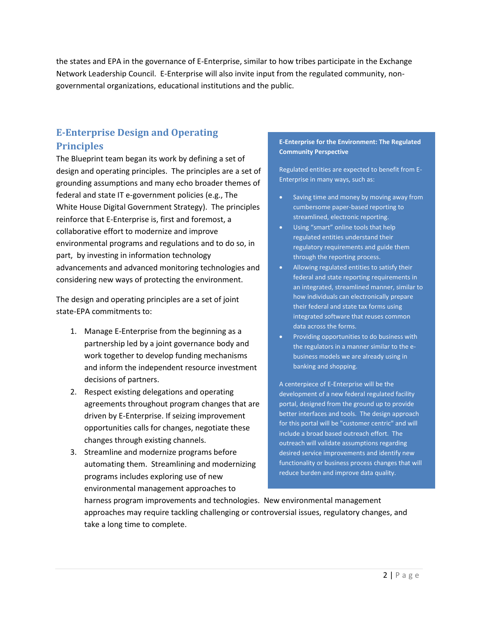the states and EPA in the governance of E-Enterprise, similar to how tribes participate in the Exchange Network Leadership Council. E-Enterprise will also invite input from the regulated community, nongovernmental organizations, educational institutions and the public.

## **E-Enterprise Design and Operating Principles**

The Blueprint team began its work by defining a set of design and operating principles. The principles are a set of grounding assumptions and many echo broader themes of federal and state IT e-government policies (e.g., The White House Digital Government Strategy). The principles reinforce that E-Enterprise is, first and foremost, a collaborative effort to modernize and improve environmental programs and regulations and to do so, in part, by investing in information technology advancements and advanced monitoring technologies and considering new ways of protecting the environment.

The design and operating principles are a set of joint state-EPA commitments to:

- 1. Manage E-Enterprise from the beginning as a partnership led by a joint governance body and work together to develop funding mechanisms and inform the independent resource investment decisions of partners.
- 2. Respect existing delegations and operating agreements throughout program changes that are driven by E-Enterprise. If seizing improvement opportunities calls for changes, negotiate these changes through existing channels.
- 3. Streamline and modernize programs before automating them. Streamlining and modernizing programs includes exploring use of new environmental management approaches to

#### **E-Enterprise for the Environment: The Regulated Community Perspective**

Regulated entities are expected to benefit from E-Enterprise in many ways, such as:

- Saving time and money by moving away from cumbersome paper-based reporting to streamlined, electronic reporting.
- Using "smart" online tools that help regulated entities understand their regulatory requirements and guide them through the reporting process.
- Allowing regulated entities to satisfy their federal and state reporting requirements in an integrated, streamlined manner, similar to how individuals can electronically prepare their federal and state tax forms using integrated software that reuses common data across the forms.
- Providing opportunities to do business with the regulators in a manner similar to the ebusiness models we are already using in banking and shopping.

A centerpiece of E-Enterprise will be the development of a new federal regulated facility portal, designed from the ground up to provide better interfaces and tools. The design approach for this portal will be "customer centric" and will include a broad based outreach effort. The outreach will validate assumptions regarding desired service improvements and identify new functionality or business process changes that will reduce burden and improve data quality.

harness program improvements and technologies. New environmental management approaches may require tackling challenging or controversial issues, regulatory changes, and take a long time to complete.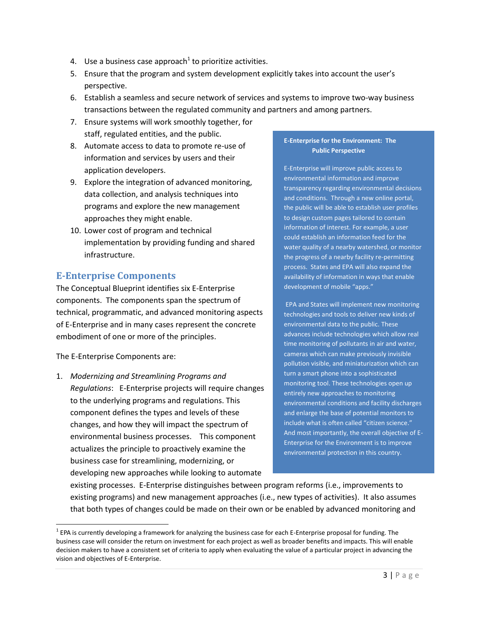- 4. Use a business case approach<sup>1</sup> to prioritize activities.
- 5. Ensure that the program and system development explicitly takes into account the user's perspective.
- 6. Establish a seamless and secure network of services and systems to improve two-way business transactions between the regulated community and partners and among partners.
- 7. Ensure systems will work smoothly together, for staff, regulated entities, and the public.
- 8. Automate access to data to promote re-use of information and services by users and their application developers.
- 9. Explore the integration of advanced monitoring, data collection, and analysis techniques into programs and explore the new management approaches they might enable.
- 10. Lower cost of program and technical implementation by providing funding and shared infrastructure.

## **E-Enterprise Components**

The Conceptual Blueprint identifies six E-Enterprise components. The components span the spectrum of technical, programmatic, and advanced monitoring aspects of E-Enterprise and in many cases represent the concrete embodiment of one or more of the principles.

The E-Enterprise Components are:

 $\overline{a}$ 

1. *Modernizing and Streamlining Programs and Regulations*: E-Enterprise projects will require changes to the underlying programs and regulations. This component defines the types and levels of these changes, and how they will impact the spectrum of environmental business processes. This component actualizes the principle to proactively examine the business case for streamlining, modernizing, or developing new approaches while looking to automate

#### **E-Enterprise for the Environment: The Public Perspective**

E-Enterprise will improve public access to environmental information and improve transparency regarding environmental decisions and conditions. Through a new online portal, the public will be able to establish user profiles to design custom pages tailored to contain information of interest. For example, a user could establish an information feed for the water quality of a nearby watershed, or monitor the progress of a nearby facility re-permitting process. States and EPA will also expand the availability of information in ways that enable development of mobile "apps."

EPA and States will implement new monitoring technologies and tools to deliver new kinds of environmental data to the public. These advances include technologies which allow real time monitoring of pollutants in air and water, cameras which can make previously invisible pollution visible, and miniaturization which can turn a smart phone into a sophisticated monitoring tool. These technologies open up entirely new approaches to monitoring environmental conditions and facility discharges and enlarge the base of potential monitors to include what is often called "citizen science." And most importantly, the overall objective of E-Enterprise for the Environment is to improve environmental protection in this country.

existing processes. E-Enterprise distinguishes between program reforms (i.e., improvements to existing programs) and new management approaches (i.e., new types of activities). It also assumes that both types of changes could be made on their own or be enabled by advanced monitoring and

 $^1$  EPA is currently developing a framework for analyzing the business case for each E-Enterprise proposal for funding. The business case will consider the return on investment for each project as well as broader benefits and impacts. This will enable decision makers to have a consistent set of criteria to apply when evaluating the value of a particular project in advancing the vision and objectives of E-Enterprise.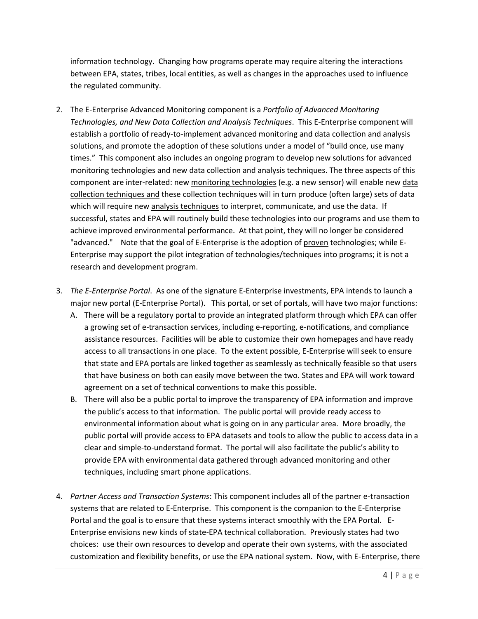information technology. Changing how programs operate may require altering the interactions between EPA, states, tribes, local entities, as well as changes in the approaches used to influence the regulated community.

- 2. The E-Enterprise Advanced Monitoring component is a *Portfolio of Advanced Monitoring Technologies, and New Data Collection and Analysis Techniques*. This E-Enterprise component will establish a portfolio of ready-to-implement advanced monitoring and data collection and analysis solutions, and promote the adoption of these solutions under a model of "build once, use many times." This component also includes an ongoing program to develop new solutions for advanced monitoring technologies and new data collection and analysis techniques. The three aspects of this component are inter-related: new monitoring technologies (e.g. a new sensor) will enable new data collection techniques and these collection techniques will in turn produce (often large) sets of data which will require new analysis techniques to interpret, communicate, and use the data. If successful, states and EPA will routinely build these technologies into our programs and use them to achieve improved environmental performance. At that point, they will no longer be considered "advanced." Note that the goal of E-Enterprise is the adoption of proven technologies; while E-Enterprise may support the pilot integration of technologies/techniques into programs; it is not a research and development program.
- 3. *The E-Enterprise Portal*. As one of the signature E-Enterprise investments, EPA intends to launch a major new portal (E-Enterprise Portal). This portal, or set of portals, will have two major functions:
	- A. There will be a regulatory portal to provide an integrated platform through which EPA can offer a growing set of e-transaction services, including e-reporting, e-notifications, and compliance assistance resources. Facilities will be able to customize their own homepages and have ready access to all transactions in one place. To the extent possible, E-Enterprise will seek to ensure that state and EPA portals are linked together as seamlessly as technically feasible so that users that have business on both can easily move between the two. States and EPA will work toward agreement on a set of technical conventions to make this possible.
	- B. There will also be a public portal to improve the transparency of EPA information and improve the public's access to that information. The public portal will provide ready access to environmental information about what is going on in any particular area. More broadly, the public portal will provide access to EPA datasets and tools to allow the public to access data in a clear and simple-to-understand format. The portal will also facilitate the public's ability to provide EPA with environmental data gathered through advanced monitoring and other techniques, including smart phone applications.
- 4. *Partner Access and Transaction Systems*: This component includes all of the partner e-transaction systems that are related to E-Enterprise. This component is the companion to the E-Enterprise Portal and the goal is to ensure that these systems interact smoothly with the EPA Portal. E-Enterprise envisions new kinds of state-EPA technical collaboration. Previously states had two choices: use their own resources to develop and operate their own systems, with the associated customization and flexibility benefits, or use the EPA national system. Now, with E-Enterprise, there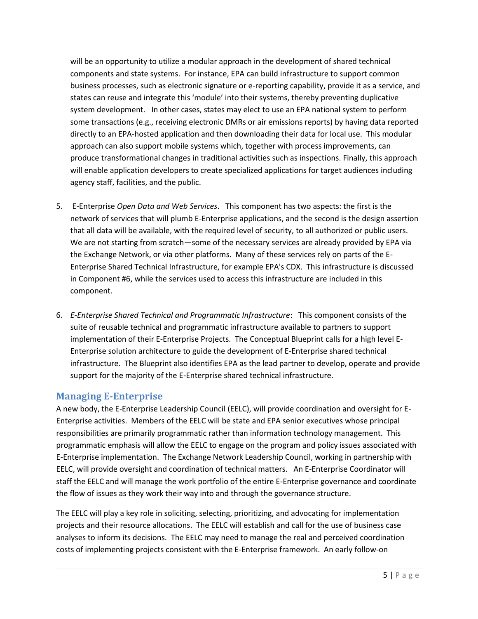will be an opportunity to utilize a modular approach in the development of shared technical components and state systems. For instance, EPA can build infrastructure to support common business processes, such as electronic signature or e-reporting capability, provide it as a service, and states can reuse and integrate this 'module' into their systems, thereby preventing duplicative system development. In other cases, states may elect to use an EPA national system to perform some transactions (e.g., receiving electronic DMRs or air emissions reports) by having data reported directly to an EPA-hosted application and then downloading their data for local use. This modular approach can also support mobile systems which, together with process improvements, can produce transformational changes in traditional activities such as inspections. Finally, this approach will enable application developers to create specialized applications for target audiences including agency staff, facilities, and the public.

- 5. E-Enterprise *Open Data and Web Services*. This component has two aspects: the first is the network of services that will plumb E-Enterprise applications, and the second is the design assertion that all data will be available, with the required level of security, to all authorized or public users. We are not starting from scratch—some of the necessary services are already provided by EPA via the Exchange Network, or via other platforms. Many of these services rely on parts of the E-Enterprise Shared Technical Infrastructure, for example EPA's CDX. This infrastructure is discussed in Component #6, while the services used to access this infrastructure are included in this component.
- 6. *E-Enterprise Shared Technical and Programmatic Infrastructure*: This component consists of the suite of reusable technical and programmatic infrastructure available to partners to support implementation of their E-Enterprise Projects. The Conceptual Blueprint calls for a high level E-Enterprise solution architecture to guide the development of E-Enterprise shared technical infrastructure. The Blueprint also identifies EPA as the lead partner to develop, operate and provide support for the majority of the E-Enterprise shared technical infrastructure.

## **Managing E-Enterprise**

A new body, the E-Enterprise Leadership Council (EELC), will provide coordination and oversight for E-Enterprise activities. Members of the EELC will be state and EPA senior executives whose principal responsibilities are primarily programmatic rather than information technology management. This programmatic emphasis will allow the EELC to engage on the program and policy issues associated with E-Enterprise implementation. The Exchange Network Leadership Council, working in partnership with EELC, will provide oversight and coordination of technical matters. An E-Enterprise Coordinator will staff the EELC and will manage the work portfolio of the entire E-Enterprise governance and coordinate the flow of issues as they work their way into and through the governance structure.

The EELC will play a key role in soliciting, selecting, prioritizing, and advocating for implementation projects and their resource allocations. The EELC will establish and call for the use of business case analyses to inform its decisions. The EELC may need to manage the real and perceived coordination costs of implementing projects consistent with the E-Enterprise framework. An early follow-on